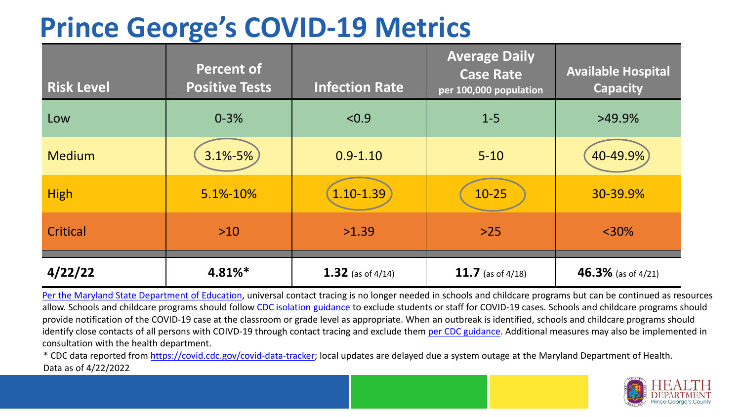## **Prince George's COVID-19 Metrics**

| <b>Risk Level</b> | <b>Percent of</b><br><b>Positive Tests</b> | <b>Infection Rate</b> | <b>Average Daily</b><br><b>Case Rate</b><br>per 100,000 population | <b>Available Hospital</b><br><b>Capacity</b> |
|-------------------|--------------------------------------------|-----------------------|--------------------------------------------------------------------|----------------------------------------------|
| Low               | $0 - 3%$                                   | < 0.9                 | $1 - 5$                                                            | $>49.9\%$                                    |
| <b>Medium</b>     | 3.1%-5%                                    | $0.9 - 1.10$          | $5 - 10$                                                           | 40-49.9%                                     |
| <b>High</b>       | 5.1%-10%                                   | 1.10-1.39             | $10 - 25$                                                          | 30-39.9%                                     |
| Critical          | $>10$                                      | >1.39                 | $>25$                                                              | $<$ 30%                                      |
| 4/22/22           | 4.81%*                                     | 1.32 (as of $4/14$ )  | 11.7 (as of $4/18$ )                                               | 46.3% (as of $4/21$ )                        |

[Per the Maryland State Department of Education,](https://earlychildhood.marylandpublicschools.org/system/files/filedepot/3/covid_guidance_full_080420.pdf) universal contact tracing is no longer needed in schools and childcare programs but can be continued as resources allow. Schools and childcare programs should follow [CDC isolation guidance t](https://www.cdc.gov/coronavirus/2019-ncov/community/schools-childcare/k-12-contact-tracing/about-isolation.html)o exclude students or staff for COVID-19 cases. Schools and childcare programs should provide notification of the COVID-19 case at the classroom or grade level as appropriate. When an outbreak is identified, schools and childcare programs should identify close contacts of all persons with COIVD-19 through contact tracing and exclude them [per CDC guidance](https://www.cdc.gov/coronavirus/2019-ncov/your-health/quarantine-isolation.html). Additional measures may also be implemented in consultation with the health department.

\* CDC data reported from [https://covid.cdc.gov/covid-data-tracker;](https://covid.cdc.gov/covid-data-tracker) local updates are delayed due a system outage at the Maryland Department of Health. Data as of 4/22/2022

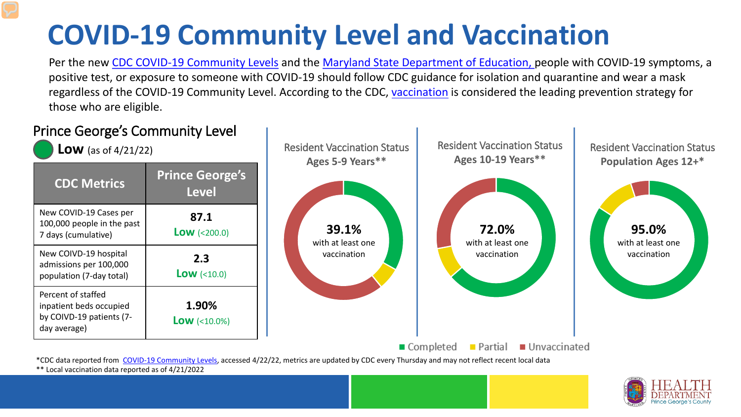# **COVID-19 Community Level and Vaccination**

Per the new [CDC COVID-19 Community Levels](https://www.cdc.gov/coronavirus/2019-ncov/science/community-levels.html#anchor_82254) and the [Maryland State Department of Education, p](https://earlychildhood.marylandpublicschools.org/system/files/filedepot/3/covid_guidance_full_080420.pdf)eople with COVID-19 symptoms, a positive test, or exposure to someone with COVID-19 should follow CDC guidance for isolation and quarantine and wear a mask regardless of the COVID-19 Community Level. According to the CDC, [vaccination](https://www.cdc.gov/coronavirus/2019-ncov/prevent-getting-sick/prevention.html) is considered the leading prevention strategy for those who are eligible.



\*\* Local vaccination data reported as of 4/21/2022

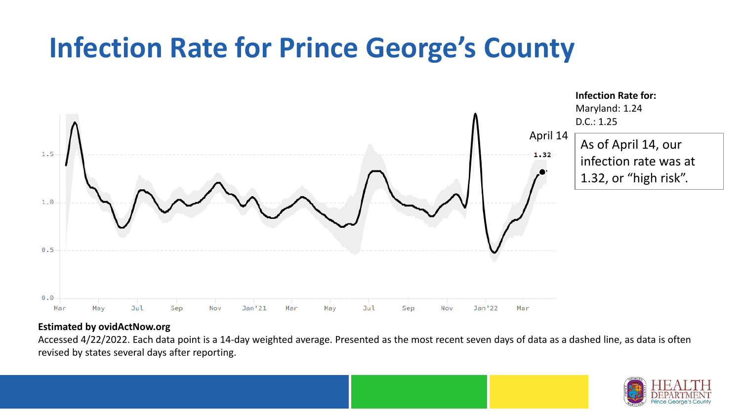## **Infection Rate for Prince George's County**



#### **Estimated by ovidActNow.org**

Accessed 4/22/2022. Each data point is a 14-day weighted average. Presented as the most recent seven days of data as a dashed line, as data is often revised by states several days after reporting.

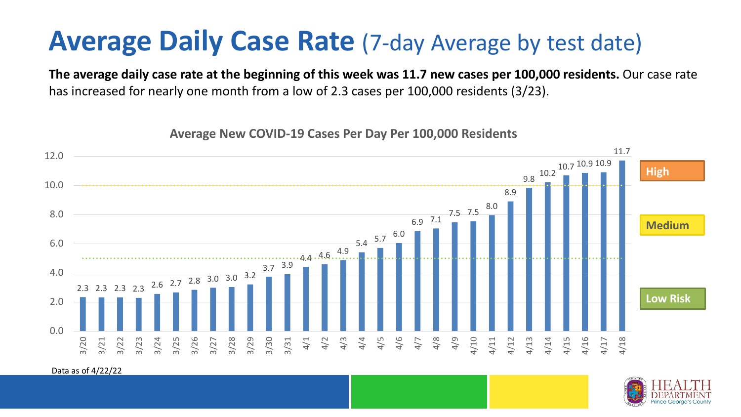### **Average Daily Case Rate** (7-day Average by test date)

**The average daily case rate at the beginning of this week was 11.7 new cases per 100,000 residents.** Our case rate has increased for nearly one month from a low of 2.3 cases per 100,000 residents (3/23).

**Average New COVID-19 Cases Per Day Per 100,000 Residents**



Data as of 4/22/22